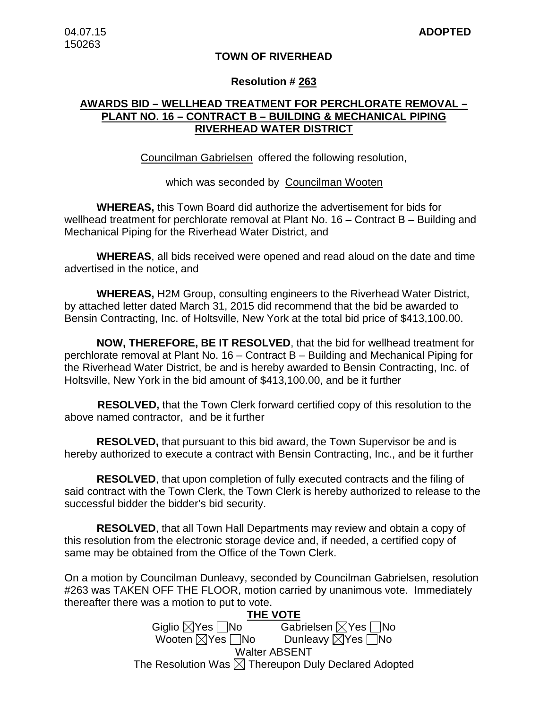## **TOWN OF RIVERHEAD**

### **Resolution # 263**

# **AWARDS BID – WELLHEAD TREATMENT FOR PERCHLORATE REMOVAL – PLANT NO. 16 – CONTRACT B – BUILDING & MECHANICAL PIPING RIVERHEAD WATER DISTRICT**

Councilman Gabrielsen offered the following resolution,

## which was seconded by Councilman Wooten

**WHEREAS,** this Town Board did authorize the advertisement for bids for wellhead treatment for perchlorate removal at Plant No. 16 – Contract B – Building and Mechanical Piping for the Riverhead Water District, and

**WHEREAS**, all bids received were opened and read aloud on the date and time advertised in the notice, and

**WHEREAS,** H2M Group, consulting engineers to the Riverhead Water District, by attached letter dated March 31, 2015 did recommend that the bid be awarded to Bensin Contracting, Inc. of Holtsville, New York at the total bid price of \$413,100.00.

**NOW, THEREFORE, BE IT RESOLVED**, that the bid for wellhead treatment for perchlorate removal at Plant No. 16 – Contract B – Building and Mechanical Piping for the Riverhead Water District, be and is hereby awarded to Bensin Contracting, Inc. of Holtsville, New York in the bid amount of \$413,100.00, and be it further

 **RESOLVED,** that the Town Clerk forward certified copy of this resolution to the above named contractor, and be it further

**RESOLVED,** that pursuant to this bid award, the Town Supervisor be and is hereby authorized to execute a contract with Bensin Contracting, Inc., and be it further

**RESOLVED**, that upon completion of fully executed contracts and the filing of said contract with the Town Clerk, the Town Clerk is hereby authorized to release to the successful bidder the bidder's bid security.

**RESOLVED**, that all Town Hall Departments may review and obtain a copy of this resolution from the electronic storage device and, if needed, a certified copy of same may be obtained from the Office of the Town Clerk.

On a motion by Councilman Dunleavy, seconded by Councilman Gabrielsen, resolution #263 was TAKEN OFF THE FLOOR, motion carried by unanimous vote. Immediately thereafter there was a motion to put to vote.

> **THE VOTE** Giglio  $\boxtimes$ Yes  $\Box$ No Gabrielsen  $\boxtimes$ Yes  $\Box$ No Wooten  $\boxtimes$ Yes  $\Box$ No Dunleavy  $\boxtimes$ Yes  $\Box$ No Walter ABSENT The Resolution Was  $\boxtimes$  Thereupon Duly Declared Adopted